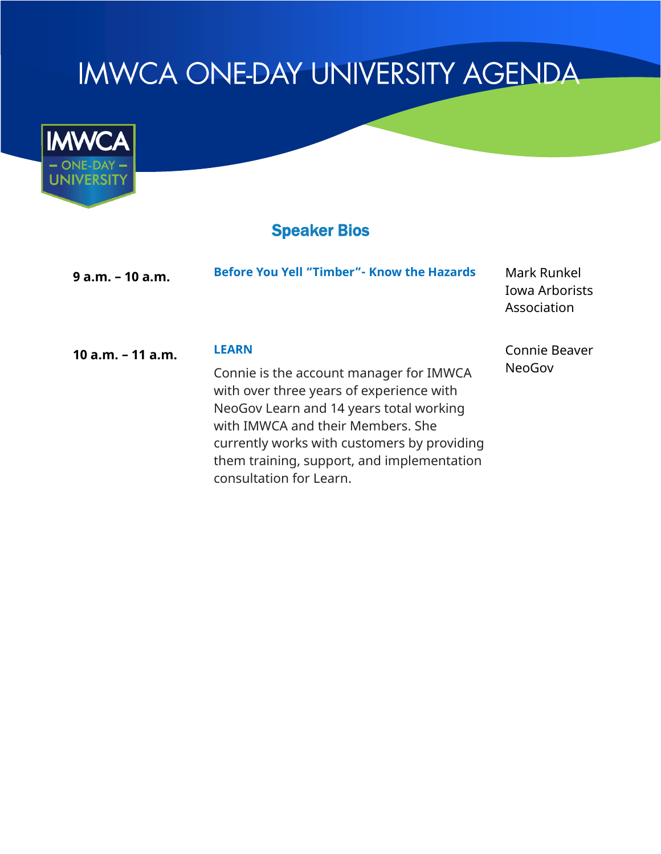# **IMWCA ONE-DAY UNIVERSITY AGENDA**



## Speaker Bios

| $9$ a.m. $-10$ a.m. | <b>Before You Yell "Timber"- Know the Hazards</b>                                                                                                                                                                                                                                                           | Mark Runkel<br>Iowa Arborists<br>Association |
|---------------------|-------------------------------------------------------------------------------------------------------------------------------------------------------------------------------------------------------------------------------------------------------------------------------------------------------------|----------------------------------------------|
| 10 $a.m. - 11 a.m.$ | <b>LEARN</b><br>Connie is the account manager for IMWCA<br>with over three years of experience with<br>NeoGov Learn and 14 years total working<br>with IMWCA and their Members. She<br>currently works with customers by providing<br>them training, support, and implementation<br>consultation for Learn. | Connie Beaver<br><b>NeoGov</b>               |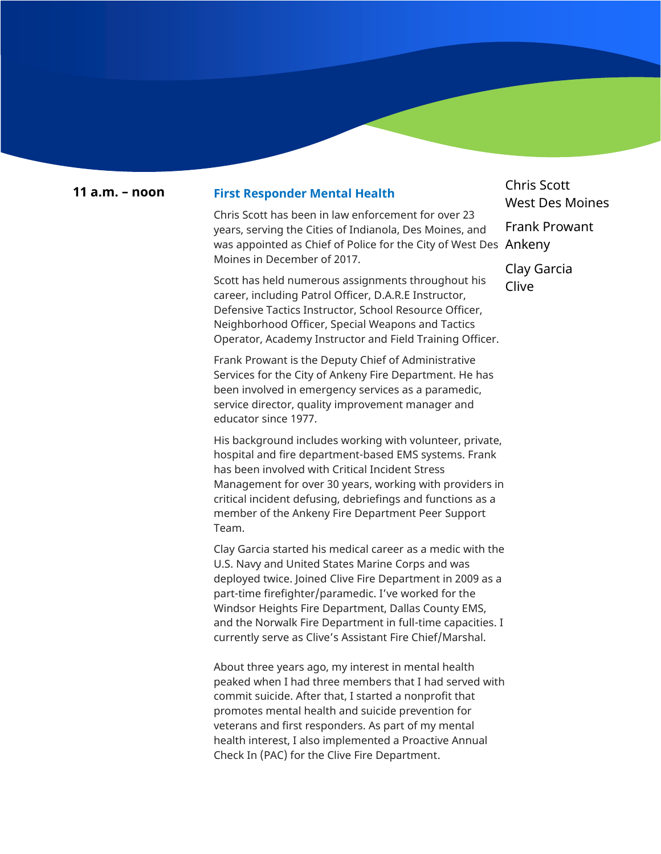### **11 a.m. – noon First Responder Mental Health**

Chris Scott has been in law enforcement for over 23 years, serving the Cities of Indianola, Des Moines, and was appointed as Chief of Police for the City of West Des  $\,$  An $\,$ k $\,$ eny $\,$ Moines in December of 2017.

Scott has held numerous assignments throughout his career, including Patrol Officer, D.A.R.E Instructor, Defensive Tactics Instructor, School Resource Officer, Neighborhood Officer, Special Weapons and Tactics Operator, Academy Instructor and Field Training Officer.

Frank Prowant is the Deputy Chief of Administrative Services for the City of Ankeny Fire Department. He has been involved in emergency services as a paramedic, service director, quality improvement manager and educator since 1977.

His background includes working with volunteer, private, hospital and fire department-based EMS systems. Frank has been involved with Critical Incident Stress Management for over 30 years, working with providers in critical incident defusing, debriefings and functions as a member of the Ankeny Fire Department Peer Support Team.

Clay Garcia started his medical career as a medic with the U.S. Navy and United States Marine Corps and was deployed twice. Joined Clive Fire Department in 2009 as a part-time firefighter/paramedic. I've worked for the Windsor Heights Fire Department, Dallas County EMS, and the Norwalk Fire Department in full-time capacities. I currently serve as Clive's Assistant Fire Chief/Marshal.

About three years ago, my interest in mental health peaked when I had three members that I had served with commit suicide. After that, I started a nonprofit that promotes mental health and suicide prevention for veterans and first responders. As part of my mental health interest, I also implemented a Proactive Annual Check In (PAC) for the Clive Fire Department.

Chris Scott West Des Moines Frank Prowant

Clay Garcia Clive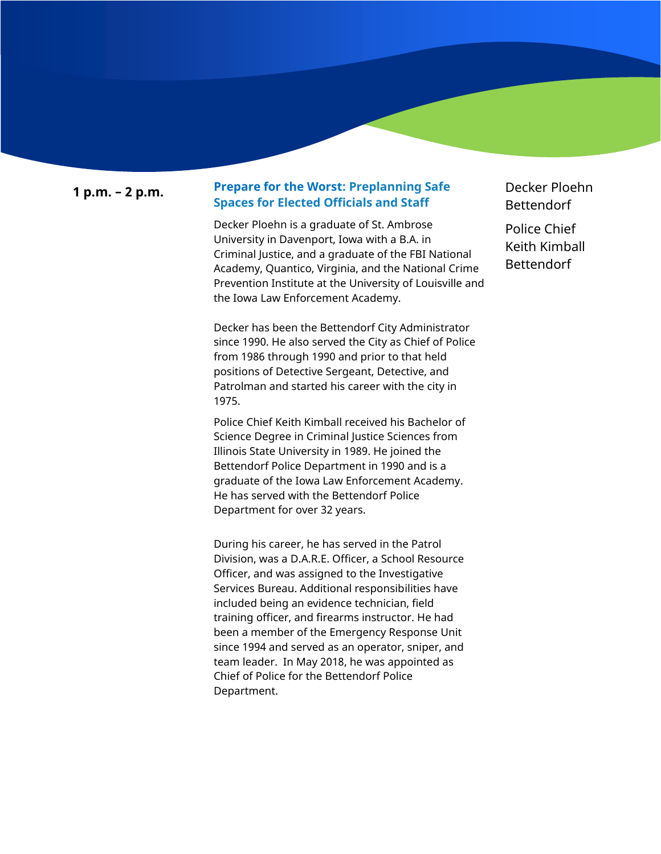### **1 p.m. – 2 p.m. Prepare for the Worst: Preplanning Safe Spaces for Elected Officials and Staff**

Decker Ploehn is a graduate of St. Ambrose University in Davenport, Iowa with a B.A. in Criminal Justice, and a graduate of the FBI National Academy, Quantico, Virginia, and the National Crime Prevention Institute at the University of Louisville and the Iowa Law Enforcement Academy.

Decker has been the Bettendorf City Administrator since 1990. He also served the City as Chief of Police from 1986 through 1990 and prior to that held positions of Detective Sergeant, Detective, and Patrolman and started his career with the city in 1975.

Police Chief Keith Kimball received his Bachelor of Science Degree in Criminal Justice Sciences from Illinois State University in 1989. He joined the Bettendorf Police Department in 1990 and is a graduate of the Iowa Law Enforcement Academy. He has served with the Bettendorf Police Department for over 32 years.

During his career, he has served in the Patrol Division, was a D.A.R.E. Officer, a School Resource Officer, and was assigned to the Investigative Services Bureau. Additional responsibilities have included being an evidence technician, field training officer, and firearms instructor. He had been a member of the Emergency Response Unit since 1994 and served as an operator, sniper, and team leader. In May 2018, he was appointed as Chief of Police for the Bettendorf Police Department.

Decker Ploehn Bettendorf

Police Chief Keith Kimball Bettendorf